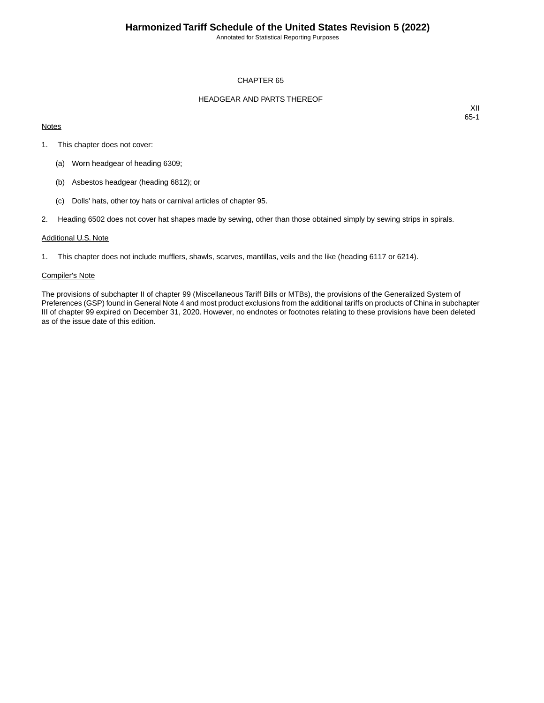Annotated for Statistical Reporting Purposes

#### CHAPTER 65

#### HEADGEAR AND PARTS THEREOF

#### **Notes**

XII 65-1

- 1. This chapter does not cover:
	- (a) Worn headgear of heading 6309;
	- (b) Asbestos headgear (heading 6812); or
	- (c) Dolls' hats, other toy hats or carnival articles of chapter 95.
- 2. Heading 6502 does not cover hat shapes made by sewing, other than those obtained simply by sewing strips in spirals.

#### Additional U.S. Note

1. This chapter does not include mufflers, shawls, scarves, mantillas, veils and the like (heading 6117 or 6214).

#### Compiler's Note

The provisions of subchapter II of chapter 99 (Miscellaneous Tariff Bills or MTBs), the provisions of the Generalized System of Preferences (GSP) found in General Note 4 and most product exclusions from the additional tariffs on products of China in subchapter III of chapter 99 expired on December 31, 2020. However, no endnotes or footnotes relating to these provisions have been deleted as of the issue date of this edition.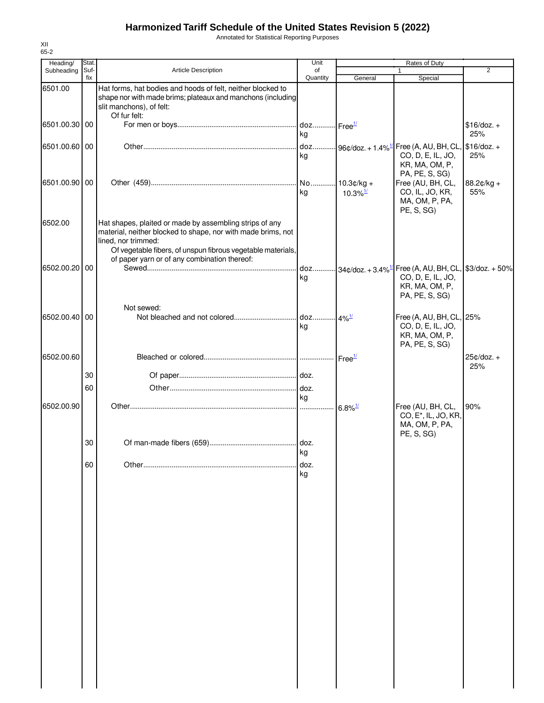Annotated for Statistical Reporting Purposes

| Heading/      | Stat.       |                                                                                                                                                                                                               | Unit           | <b>Rates of Duty</b>   |                                                                                                                                          |                     |
|---------------|-------------|---------------------------------------------------------------------------------------------------------------------------------------------------------------------------------------------------------------|----------------|------------------------|------------------------------------------------------------------------------------------------------------------------------------------|---------------------|
| Subheading    | Suf-<br>fix | <b>Article Description</b>                                                                                                                                                                                    | of<br>Quantity | General                | $\mathbf{1}$<br>Special                                                                                                                  | 2                   |
| 6501.00       |             | Hat forms, hat bodies and hoods of felt, neither blocked to<br>shape nor with made brims; plateaux and manchons (including<br>slit manchons), of felt:<br>Of fur felt:                                        |                |                        |                                                                                                                                          |                     |
| 6501.00.30 00 |             |                                                                                                                                                                                                               | kg             |                        |                                                                                                                                          | $$16/doz. +$<br>25% |
| 6501.00.60 00 |             |                                                                                                                                                                                                               | kg             |                        | CO, D, E, IL, JO,<br>KR, MA, OM, P,<br>PA, PE, S, SG)                                                                                    | 25%                 |
| 6501.00.90 00 |             |                                                                                                                                                                                                               | ka             | $10.3\%$ <sup>1/</sup> | Free (AU, BH, CL,<br>CO, IL, JO, KR,<br>MA, OM, P, PA,<br>PE, S, SG)                                                                     | 88.2¢/kg +<br>55%   |
| 6502.00       |             | Hat shapes, plaited or made by assembling strips of any<br>material, neither blocked to shape, nor with made brims, not<br>lined, nor trimmed:<br>Of vegetable fibers, of unspun fibrous vegetable materials, |                |                        |                                                                                                                                          |                     |
| 6502.00.20 00 |             | of paper yarn or of any combination thereof:                                                                                                                                                                  | kg             |                        | doz $34\text{°,doz.} + 3.4\%$ <sup>1/</sup> Free (A, AU, BH, CL, \$3/doz. + 50%<br>CO, D, E, IL, JO,<br>KR, MA, OM, P,<br>PA, PE, S, SG) |                     |
| 6502.00.40 00 |             | Not sewed:                                                                                                                                                                                                    | kg             |                        | Free (A, AU, BH, CL, 25%<br>CO, D, E, IL, JO,<br>KR, MA, OM, P,<br>PA, PE, S, SG)                                                        |                     |
| 6502.00.60    |             |                                                                                                                                                                                                               |                |                        |                                                                                                                                          | $25¢/doz. +$<br>25% |
|               | 30          |                                                                                                                                                                                                               |                |                        |                                                                                                                                          |                     |
|               | 60          |                                                                                                                                                                                                               |                |                        |                                                                                                                                          |                     |
| 6502.00.90    |             |                                                                                                                                                                                                               | kg<br>         | $6.8\%$ <sup>1/</sup>  | Free (AU, BH, CL,<br>CO, E <sup>*</sup> , IL, JO, KR,<br>MA, OM, P, PA,                                                                  | 90%                 |
|               | 30          |                                                                                                                                                                                                               | ka             |                        | PE, S, SG)                                                                                                                               |                     |
|               | 60          |                                                                                                                                                                                                               | doz.<br>kg     |                        |                                                                                                                                          |                     |
|               |             |                                                                                                                                                                                                               |                |                        |                                                                                                                                          |                     |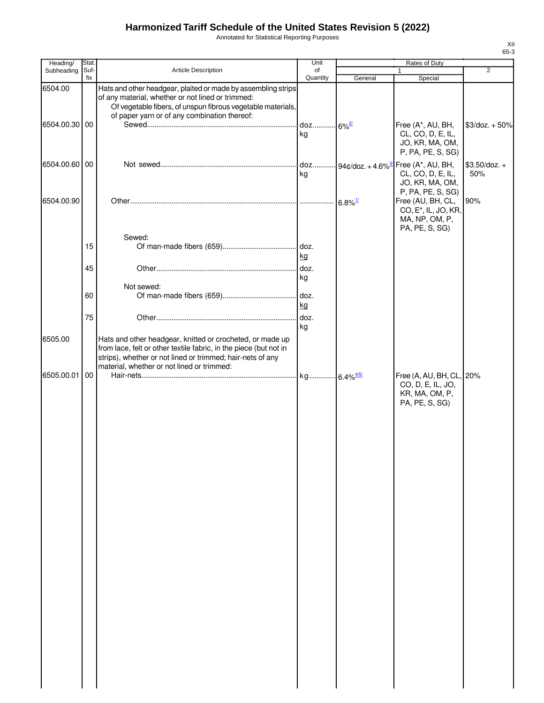Annotated for Statistical Reporting Purposes

| Heading/              | Stat.       |                                                                                                                                                                                                                                            | Unit                       |                       | Rates of Duty                                                                                                    |                        |
|-----------------------|-------------|--------------------------------------------------------------------------------------------------------------------------------------------------------------------------------------------------------------------------------------------|----------------------------|-----------------------|------------------------------------------------------------------------------------------------------------------|------------------------|
| Subheading            | Suf-<br>fix | Article Description                                                                                                                                                                                                                        | of<br>Quantity             | General               | $\mathbf{1}$<br>Special                                                                                          | $\overline{2}$         |
| 6504.00<br>6504.00.30 | 00          | Hats and other headgear, plaited or made by assembling strips<br>of any material, whether or not lined or trimmed:<br>Of vegetable fibers, of unspun fibrous vegetable materials,<br>of paper yarn or of any combination thereof:          | doz 6% <sup>2/</sup><br>kg |                       | Free (A*, AU, BH,<br>CL, CO, D, E, IL,<br>JO, KR, MA, OM,                                                        | $$3$ /doz. + 50%       |
| 6504.00.60 00         |             |                                                                                                                                                                                                                                            | kg                         |                       | P, PA, PE, S, SG)<br>doz 94¢/doz. + 4.6% <sup>3/</sup> Free (A*, AU, BH,<br>CL, CO, D, E, IL,<br>JO, KR, MA, OM, | $$3.50$ /doz. +<br>50% |
| 6504.00.90            |             |                                                                                                                                                                                                                                            |                            | $6.8\%$ <sup>1/</sup> | P, PA, PE, S, SG)<br>Free (AU, BH, CL,<br>CO, E <sup>*</sup> , IL, JO, KR,<br>MA, NP, OM, P,<br>PA, PE, S, SG)   | 90%                    |
|                       | 15          | Sewed:                                                                                                                                                                                                                                     | kg                         |                       |                                                                                                                  |                        |
|                       | 45          | Not sewed:                                                                                                                                                                                                                                 | doz.<br>kg                 |                       |                                                                                                                  |                        |
|                       | 60<br>75    |                                                                                                                                                                                                                                            | kg                         |                       |                                                                                                                  |                        |
| 6505.00               |             | Hats and other headgear, knitted or crocheted, or made up<br>from lace, felt or other textile fabric, in the piece (but not in<br>strips), whether or not lined or trimmed; hair-nets of any<br>material, whether or not lined or trimmed: | kg                         |                       |                                                                                                                  |                        |
| 6505.00.01            | 00          |                                                                                                                                                                                                                                            |                            |                       | Free (A, AU, BH, CL, 20%<br>CO, D, E, IL, JO,<br>KR, MA, OM, P,<br>PA, PE, S, SG)                                |                        |
|                       |             |                                                                                                                                                                                                                                            |                            |                       |                                                                                                                  |                        |
|                       |             |                                                                                                                                                                                                                                            |                            |                       |                                                                                                                  |                        |
|                       |             |                                                                                                                                                                                                                                            |                            |                       |                                                                                                                  |                        |
|                       |             |                                                                                                                                                                                                                                            |                            |                       |                                                                                                                  |                        |
|                       |             |                                                                                                                                                                                                                                            |                            |                       |                                                                                                                  |                        |
|                       |             |                                                                                                                                                                                                                                            |                            |                       |                                                                                                                  |                        |
|                       |             |                                                                                                                                                                                                                                            |                            |                       |                                                                                                                  |                        |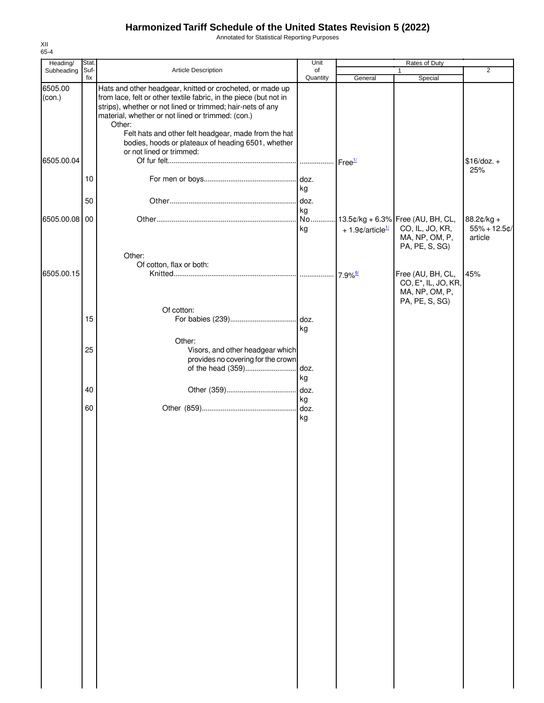Annotated for Statistical Reporting Purposes

| Heading/   | Stat. |                                                                   | Unit     | Rates of Duty                  |                                   |                 |  |
|------------|-------|-------------------------------------------------------------------|----------|--------------------------------|-----------------------------------|-----------------|--|
| Subheading | Suf-  | Article Description                                               | of       |                                |                                   | $\overline{2}$  |  |
|            | fix   |                                                                   | Quantity | General                        | Special                           |                 |  |
| 6505.00    |       | Hats and other headgear, knitted or crocheted, or made up         |          |                                |                                   |                 |  |
| (con.)     |       | from lace, felt or other textile fabric, in the piece (but not in |          |                                |                                   |                 |  |
|            |       | strips), whether or not lined or trimmed; hair-nets of any        |          |                                |                                   |                 |  |
|            |       | material, whether or not lined or trimmed: (con.)                 |          |                                |                                   |                 |  |
|            |       | Other:                                                            |          |                                |                                   |                 |  |
|            |       | Felt hats and other felt headgear, made from the hat              |          |                                |                                   |                 |  |
|            |       | bodies, hoods or plateaux of heading 6501, whether                |          |                                |                                   |                 |  |
|            |       | or not lined or trimmed:                                          |          |                                |                                   |                 |  |
| 6505.00.04 |       |                                                                   |          | Free <sup>1/</sup>             |                                   | $$16$ /doz. +   |  |
|            |       |                                                                   |          |                                |                                   | 25%             |  |
|            | 10    |                                                                   |          |                                |                                   |                 |  |
|            |       |                                                                   | kg       |                                |                                   |                 |  |
|            |       |                                                                   |          |                                |                                   |                 |  |
|            | 50    |                                                                   | doz.     |                                |                                   |                 |  |
|            |       |                                                                   | kg       |                                |                                   |                 |  |
| 6505.00.08 | 00    |                                                                   | No       |                                | 13.5¢/kg + 6.3% Free (AU, BH, CL, | 88.2¢/kg +      |  |
|            |       |                                                                   | kg       | $+1.9$ ¢/article <sup>1/</sup> | CO, IL, JO, KR,                   | $55% + 12.5$ ¢/ |  |
|            |       |                                                                   |          |                                | MA, NP, OM, P,                    | article         |  |
|            |       |                                                                   |          |                                | PA, PE, S, SG)                    |                 |  |
|            |       | Other:                                                            |          |                                |                                   |                 |  |
|            |       | Of cotton, flax or both:                                          |          |                                |                                   |                 |  |
| 6505.00.15 |       |                                                                   |          |                                | Free (AU, BH, CL,                 | 45%             |  |
|            |       |                                                                   |          |                                | CO, E <sup>*</sup> , IL, JO, KR,  |                 |  |
|            |       |                                                                   |          |                                | MA, NP, OM, P,                    |                 |  |
|            |       |                                                                   |          |                                | PA, PE, S, SG)                    |                 |  |
|            |       | Of cotton:                                                        |          |                                |                                   |                 |  |
|            | 15    |                                                                   |          |                                |                                   |                 |  |
|            |       |                                                                   | kg       |                                |                                   |                 |  |
|            |       |                                                                   |          |                                |                                   |                 |  |
|            |       | Other:                                                            |          |                                |                                   |                 |  |
|            | 25    | Visors, and other headgear which                                  |          |                                |                                   |                 |  |
|            |       | provides no covering for the crown                                |          |                                |                                   |                 |  |
|            |       | of the head (359)                                                 | doz.     |                                |                                   |                 |  |
|            |       |                                                                   | kg       |                                |                                   |                 |  |
|            | 40    |                                                                   | doz.     |                                |                                   |                 |  |
|            |       |                                                                   |          |                                |                                   |                 |  |
|            |       |                                                                   | kg       |                                |                                   |                 |  |
|            | 60    |                                                                   | doz.     |                                |                                   |                 |  |
|            |       |                                                                   | kg       |                                |                                   |                 |  |
|            |       |                                                                   |          |                                |                                   |                 |  |
|            |       |                                                                   |          |                                |                                   |                 |  |
|            |       |                                                                   |          |                                |                                   |                 |  |
|            |       |                                                                   |          |                                |                                   |                 |  |
|            |       |                                                                   |          |                                |                                   |                 |  |
|            |       |                                                                   |          |                                |                                   |                 |  |
|            |       |                                                                   |          |                                |                                   |                 |  |
|            |       |                                                                   |          |                                |                                   |                 |  |
|            |       |                                                                   |          |                                |                                   |                 |  |
|            |       |                                                                   |          |                                |                                   |                 |  |
|            |       |                                                                   |          |                                |                                   |                 |  |
|            |       |                                                                   |          |                                |                                   |                 |  |
|            |       |                                                                   |          |                                |                                   |                 |  |
|            |       |                                                                   |          |                                |                                   |                 |  |
|            |       |                                                                   |          |                                |                                   |                 |  |
|            |       |                                                                   |          |                                |                                   |                 |  |
|            |       |                                                                   |          |                                |                                   |                 |  |
|            |       |                                                                   |          |                                |                                   |                 |  |
|            |       |                                                                   |          |                                |                                   |                 |  |
|            |       |                                                                   |          |                                |                                   |                 |  |
|            |       |                                                                   |          |                                |                                   |                 |  |
|            |       |                                                                   |          |                                |                                   |                 |  |
|            |       |                                                                   |          |                                |                                   |                 |  |
|            |       |                                                                   |          |                                |                                   |                 |  |
|            |       |                                                                   |          |                                |                                   |                 |  |
|            |       |                                                                   |          |                                |                                   |                 |  |
|            |       |                                                                   |          |                                |                                   |                 |  |
|            |       |                                                                   |          |                                |                                   |                 |  |
|            |       |                                                                   |          |                                |                                   |                 |  |
|            |       |                                                                   |          |                                |                                   |                 |  |
|            |       |                                                                   |          |                                |                                   |                 |  |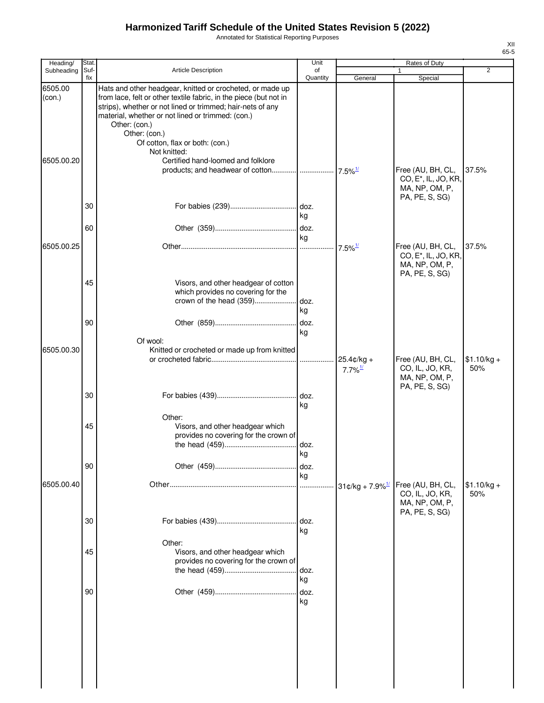Annotated for Statistical Reporting Purposes

| Heading/          | Stat.       |                                                                                                                                                                                                                                                                                                                                        | Unit           |                                     | Rates of Duty                                                                             |                     |
|-------------------|-------------|----------------------------------------------------------------------------------------------------------------------------------------------------------------------------------------------------------------------------------------------------------------------------------------------------------------------------------------|----------------|-------------------------------------|-------------------------------------------------------------------------------------------|---------------------|
| Subheading        | Suf-<br>fix | <b>Article Description</b>                                                                                                                                                                                                                                                                                                             | of<br>Quantity | General                             | 1<br>Special                                                                              | 2                   |
| 6505.00<br>(con.) |             | Hats and other headgear, knitted or crocheted, or made up<br>from lace, felt or other textile fabric, in the piece (but not in<br>strips), whether or not lined or trimmed; hair-nets of any<br>material, whether or not lined or trimmed: (con.)<br>Other: (con.)<br>Other: (con.)<br>Of cotton, flax or both: (con.)<br>Not knitted: |                |                                     |                                                                                           |                     |
| 6505.00.20        |             | Certified hand-loomed and folklore                                                                                                                                                                                                                                                                                                     |                |                                     | Free (AU, BH, CL,<br>CO, E <sup>*</sup> , IL, JO, KR,<br>MA, NP, OM, P,<br>PA, PE, S, SG) | 37.5%               |
|                   | 30          |                                                                                                                                                                                                                                                                                                                                        | kg             |                                     |                                                                                           |                     |
|                   | 60          |                                                                                                                                                                                                                                                                                                                                        | kg             |                                     |                                                                                           |                     |
| 6505.00.25        |             |                                                                                                                                                                                                                                                                                                                                        |                |                                     | Free (AU, BH, CL,<br>CO, E <sup>*</sup> , IL, JO, KR,<br>MA, NP, OM, P,<br>PA, PE, S, SG) | 37.5%               |
|                   | 45          | Visors, and other headgear of cotton<br>which provides no covering for the                                                                                                                                                                                                                                                             | kg             |                                     |                                                                                           |                     |
| 6505.00.30        | 90          | Of wool:<br>Knitted or crocheted or made up from knitted                                                                                                                                                                                                                                                                               | doz.<br>kg     |                                     |                                                                                           |                     |
|                   |             |                                                                                                                                                                                                                                                                                                                                        |                | 25.4¢/kg +<br>$7.7\%$ <sup>1/</sup> | Free (AU, BH, CL,<br>CO, IL, JO, KR,<br>MA, NP, OM, P,<br>PA, PE, S, SG)                  | $$1.10/kg +$<br>50% |
|                   | 30          |                                                                                                                                                                                                                                                                                                                                        | kg             |                                     |                                                                                           |                     |
|                   | 45          | Other:<br>Visors, and other headgear which<br>provides no covering for the crown of                                                                                                                                                                                                                                                    | kg             |                                     |                                                                                           |                     |
|                   | 90          |                                                                                                                                                                                                                                                                                                                                        | doz.<br>kg     |                                     |                                                                                           |                     |
| 6505.00.40        |             |                                                                                                                                                                                                                                                                                                                                        | .              | $31¢/kg + 7.9\%$ <sup>1/</sup>      | Free (AU, BH, CL,<br>CO, IL, JO, KR,<br>MA, NP, OM, P,<br>PA, PE, S, SG)                  | $$1.10/kg +$<br>50% |
|                   | 30          |                                                                                                                                                                                                                                                                                                                                        | doz.<br>kg     |                                     |                                                                                           |                     |
|                   | 45          | Other:<br>Visors, and other headgear which<br>provides no covering for the crown of                                                                                                                                                                                                                                                    | doz.<br>kg     |                                     |                                                                                           |                     |
|                   | 90          |                                                                                                                                                                                                                                                                                                                                        | doz.<br>kg     |                                     |                                                                                           |                     |
|                   |             |                                                                                                                                                                                                                                                                                                                                        |                |                                     |                                                                                           |                     |
|                   |             |                                                                                                                                                                                                                                                                                                                                        |                |                                     |                                                                                           |                     |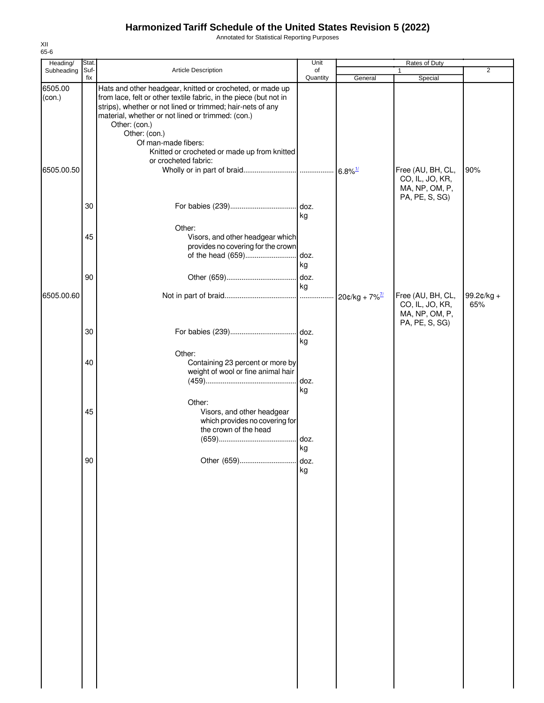Annotated for Statistical Reporting Purposes

| Heading/          | Stat.       |                                                                                                                                                                                                                                                                                                                                                            | Unit             |         |                                                                          |                   |
|-------------------|-------------|------------------------------------------------------------------------------------------------------------------------------------------------------------------------------------------------------------------------------------------------------------------------------------------------------------------------------------------------------------|------------------|---------|--------------------------------------------------------------------------|-------------------|
| Subheading        | Suf-<br>fix | Article Description                                                                                                                                                                                                                                                                                                                                        | of<br>Quantity   | General | Special                                                                  | $\overline{2}$    |
| 6505.00<br>(con.) |             | Hats and other headgear, knitted or crocheted, or made up<br>from lace, felt or other textile fabric, in the piece (but not in<br>strips), whether or not lined or trimmed; hair-nets of any<br>material, whether or not lined or trimmed: (con.)<br>Other: (con.)<br>Other: (con.)<br>Of man-made fibers:<br>Knitted or crocheted or made up from knitted |                  |         |                                                                          |                   |
| 6505.00.50        |             | or crocheted fabric:                                                                                                                                                                                                                                                                                                                                       |                  |         | Free (AU, BH, CL,<br>CO, IL, JO, KR,<br>MA, NP, OM, P,<br>PA, PE, S, SG) | 90%               |
|                   | 30          |                                                                                                                                                                                                                                                                                                                                                            | . doz.<br>kg     |         |                                                                          |                   |
|                   | 45          | Other:<br>Visors, and other headgear which<br>provides no covering for the crown<br>of the head (659)                                                                                                                                                                                                                                                      | doz.<br>kg       |         |                                                                          |                   |
| 6505.00.60        | 90          |                                                                                                                                                                                                                                                                                                                                                            | doz.<br>kg       |         | Free (AU, BH, CL,<br>CO, IL, JO, KR,<br>MA, NP, OM, P,                   | 99.2¢/kg +<br>65% |
|                   | 30          |                                                                                                                                                                                                                                                                                                                                                            | . doz.<br>kg     |         | PA, PE, S, SG)                                                           |                   |
|                   | 40          | Other:<br>Containing 23 percent or more by<br>weight of wool or fine animal hair                                                                                                                                                                                                                                                                           | doz.<br>kg       |         |                                                                          |                   |
|                   | 45          | Other:<br>Visors, and other headgear<br>which provides no covering for<br>the crown of the head                                                                                                                                                                                                                                                            | . doz.           |         |                                                                          |                   |
|                   | $90\,$      | Other (659)                                                                                                                                                                                                                                                                                                                                                | kg<br>doz.<br>kg |         |                                                                          |                   |
|                   |             |                                                                                                                                                                                                                                                                                                                                                            |                  |         |                                                                          |                   |
|                   |             |                                                                                                                                                                                                                                                                                                                                                            |                  |         |                                                                          |                   |
|                   |             |                                                                                                                                                                                                                                                                                                                                                            |                  |         |                                                                          |                   |
|                   |             |                                                                                                                                                                                                                                                                                                                                                            |                  |         |                                                                          |                   |
|                   |             |                                                                                                                                                                                                                                                                                                                                                            |                  |         |                                                                          |                   |
|                   |             |                                                                                                                                                                                                                                                                                                                                                            |                  |         |                                                                          |                   |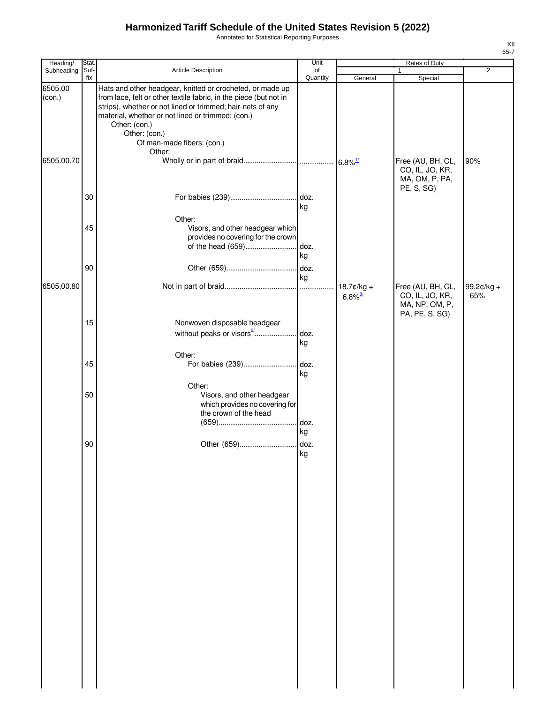Annotated for Statistical Reporting Purposes

| Heading/          | Stat.       |                                                                                                                                                                                                                                                                                     | Unit                  |                       |                                                        |                |
|-------------------|-------------|-------------------------------------------------------------------------------------------------------------------------------------------------------------------------------------------------------------------------------------------------------------------------------------|-----------------------|-----------------------|--------------------------------------------------------|----------------|
| Subheading        | Suf-<br>fix | Article Description                                                                                                                                                                                                                                                                 | of<br>Quantity        | General               | 1<br>Special                                           | $\overline{2}$ |
| 6505.00<br>(con.) |             | Hats and other headgear, knitted or crocheted, or made up<br>from lace, felt or other textile fabric, in the piece (but not in<br>strips), whether or not lined or trimmed; hair-nets of any<br>material, whether or not lined or trimmed: (con.)<br>Other: (con.)<br>Other: (con.) |                       |                       |                                                        |                |
| 6505.00.70        |             | Of man-made fibers: (con.)<br>Other:                                                                                                                                                                                                                                                |                       |                       | Free (AU, BH, CL,<br>CO, IL, JO, KR,<br>MA, OM, P, PA, | 90%            |
|                   | 30          |                                                                                                                                                                                                                                                                                     | kg                    |                       | PE, S, SG)                                             |                |
|                   | 45          | Other:<br>Visors, and other headgear which<br>provides no covering for the crown<br>of the head (659)                                                                                                                                                                               | doz.                  |                       |                                                        |                |
| 6505.00.80        | 90          |                                                                                                                                                                                                                                                                                     | kg<br>doz.<br>kg<br>. | $18.7$ ¢/kg +         | Free (AU, BH, CL,                                      | 99.2 $¢$ /kg + |
|                   |             |                                                                                                                                                                                                                                                                                     |                       | $6.8\%$ <sup>8/</sup> | CO, IL, JO, KR,<br>MA, NP, OM, P,<br>PA, PE, S, SG)    | 65%            |
|                   | 15          | Nonwoven disposable headgear                                                                                                                                                                                                                                                        | kg                    |                       |                                                        |                |
|                   | 45          | Other:<br>For babies (239)                                                                                                                                                                                                                                                          | doz.<br>kg            |                       |                                                        |                |
|                   | 50          | Other:<br>Visors, and other headgear<br>which provides no covering for<br>the crown of the head                                                                                                                                                                                     | doz.<br>kg            |                       |                                                        |                |
|                   | 90          |                                                                                                                                                                                                                                                                                     | ka                    |                       |                                                        |                |
|                   |             |                                                                                                                                                                                                                                                                                     |                       |                       |                                                        |                |
|                   |             |                                                                                                                                                                                                                                                                                     |                       |                       |                                                        |                |
|                   |             |                                                                                                                                                                                                                                                                                     |                       |                       |                                                        |                |
|                   |             |                                                                                                                                                                                                                                                                                     |                       |                       |                                                        |                |
|                   |             |                                                                                                                                                                                                                                                                                     |                       |                       |                                                        |                |
|                   |             |                                                                                                                                                                                                                                                                                     |                       |                       |                                                        |                |
|                   |             |                                                                                                                                                                                                                                                                                     |                       |                       |                                                        |                |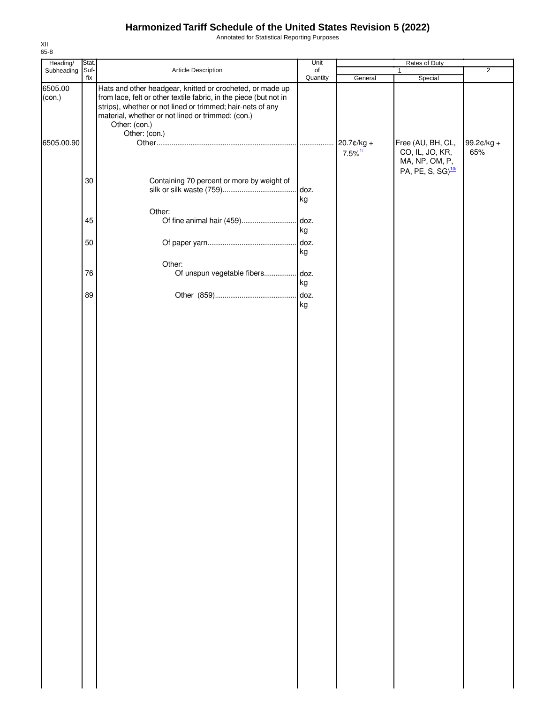Annotated for Statistical Reporting Purposes

| Heading/          | Stat.  |                                                                                                                                                                                                                                                                    | Unit           |                                     |                                                        |                   |
|-------------------|--------|--------------------------------------------------------------------------------------------------------------------------------------------------------------------------------------------------------------------------------------------------------------------|----------------|-------------------------------------|--------------------------------------------------------|-------------------|
| Subheading        | Suf-   | Article Description                                                                                                                                                                                                                                                | of             |                                     | Rates of Duty<br>1                                     | $\overline{2}$    |
| 6505.00<br>(con.) | fix    | Hats and other headgear, knitted or crocheted, or made up<br>from lace, felt or other textile fabric, in the piece (but not in<br>strips), whether or not lined or trimmed; hair-nets of any<br>material, whether or not lined or trimmed: (con.)<br>Other: (con.) | Quantity       | General                             | Special                                                |                   |
| 6505.00.90        |        | Other: (con.)                                                                                                                                                                                                                                                      |                | 20.7¢/kg +<br>$7.5\%$ <sup>1/</sup> | Free (AU, BH, CL,<br>CO, IL, JO, KR,<br>MA, NP, OM, P, | 99.2¢/kg +<br>65% |
|                   | $30\,$ | Containing 70 percent or more by weight of                                                                                                                                                                                                                         | doz.<br>kg     |                                     | PA, PE, S, SG) <sup>10/</sup>                          |                   |
|                   | 45     | Other:                                                                                                                                                                                                                                                             |                |                                     |                                                        |                   |
|                   | 50     |                                                                                                                                                                                                                                                                    | kg<br>$.$ doz. |                                     |                                                        |                   |
|                   | 76     | Other:                                                                                                                                                                                                                                                             | kg             |                                     |                                                        |                   |
|                   | 89     |                                                                                                                                                                                                                                                                    | kg             |                                     |                                                        |                   |
|                   |        |                                                                                                                                                                                                                                                                    | kg             |                                     |                                                        |                   |
|                   |        |                                                                                                                                                                                                                                                                    |                |                                     |                                                        |                   |
|                   |        |                                                                                                                                                                                                                                                                    |                |                                     |                                                        |                   |
|                   |        |                                                                                                                                                                                                                                                                    |                |                                     |                                                        |                   |
|                   |        |                                                                                                                                                                                                                                                                    |                |                                     |                                                        |                   |
|                   |        |                                                                                                                                                                                                                                                                    |                |                                     |                                                        |                   |
|                   |        |                                                                                                                                                                                                                                                                    |                |                                     |                                                        |                   |
|                   |        |                                                                                                                                                                                                                                                                    |                |                                     |                                                        |                   |
|                   |        |                                                                                                                                                                                                                                                                    |                |                                     |                                                        |                   |
|                   |        |                                                                                                                                                                                                                                                                    |                |                                     |                                                        |                   |
|                   |        |                                                                                                                                                                                                                                                                    |                |                                     |                                                        |                   |
|                   |        |                                                                                                                                                                                                                                                                    |                |                                     |                                                        |                   |
|                   |        |                                                                                                                                                                                                                                                                    |                |                                     |                                                        |                   |
|                   |        |                                                                                                                                                                                                                                                                    |                |                                     |                                                        |                   |
|                   |        |                                                                                                                                                                                                                                                                    |                |                                     |                                                        |                   |
|                   |        |                                                                                                                                                                                                                                                                    |                |                                     |                                                        |                   |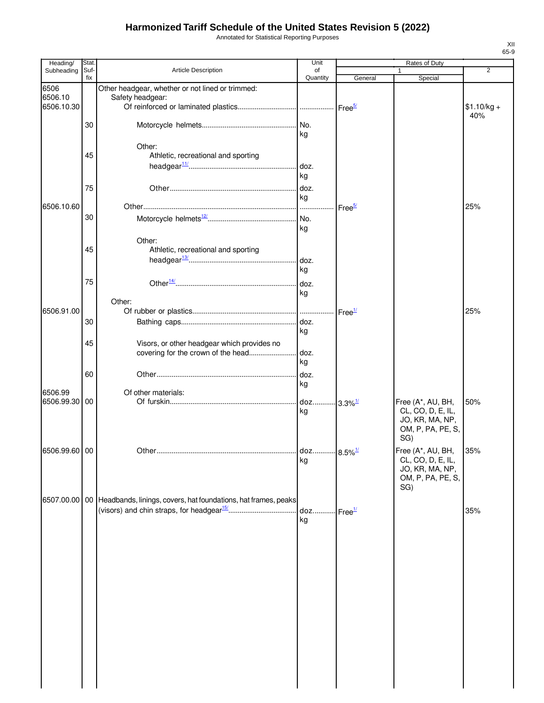Annotated for Statistical Reporting Purposes

| Heading/      | Stat.            |                                                                                  | Unit           |                        | Rates of Duty     |                |
|---------------|------------------|----------------------------------------------------------------------------------|----------------|------------------------|-------------------|----------------|
| Subheading    | Suf-<br>fix      | Article Description                                                              | of<br>Quantity | General                | 1<br>Special      | $\overline{2}$ |
| 6506          |                  | Other headgear, whether or not lined or trimmed:                                 |                |                        |                   |                |
| 6506.10       |                  | Safety headgear:                                                                 |                |                        |                   |                |
| 6506.10.30    |                  |                                                                                  |                | Free <sup>5/</sup>     |                   | $$1.10/kg +$   |
|               |                  |                                                                                  |                |                        |                   | 40%            |
|               | 30               |                                                                                  |                |                        |                   |                |
|               |                  |                                                                                  | kg             |                        |                   |                |
|               |                  | Other:                                                                           |                |                        |                   |                |
|               | 45               | Athletic, recreational and sporting                                              |                |                        |                   |                |
|               |                  |                                                                                  | doz.           |                        |                   |                |
|               |                  |                                                                                  | kg             |                        |                   |                |
|               | 75               |                                                                                  | doz.           |                        |                   |                |
| 6506.10.60    |                  |                                                                                  | kg             |                        |                   | 25%            |
|               |                  |                                                                                  | .              | Free <sup>5/</sup>     |                   |                |
|               | 30               |                                                                                  |                |                        |                   |                |
|               |                  |                                                                                  | kg             |                        |                   |                |
|               |                  | Other:                                                                           |                |                        |                   |                |
|               | 45               | Athletic, recreational and sporting                                              |                |                        |                   |                |
|               |                  |                                                                                  | doz.           |                        |                   |                |
|               |                  |                                                                                  | kg             |                        |                   |                |
|               | 75               |                                                                                  |                |                        |                   |                |
|               |                  |                                                                                  | kg             |                        |                   |                |
|               |                  | Other:                                                                           |                |                        |                   |                |
| 6506.91.00    |                  |                                                                                  |                | Free <sup>1/</sup>     |                   | 25%            |
|               | 30               |                                                                                  | doz.           |                        |                   |                |
|               |                  |                                                                                  | kg             |                        |                   |                |
|               | 45               | Visors, or other headgear which provides no                                      |                |                        |                   |                |
|               |                  | covering for the crown of the head                                               | doz.<br>kg     |                        |                   |                |
|               |                  |                                                                                  |                |                        |                   |                |
|               | 60               |                                                                                  | doz.           |                        |                   |                |
| 6506.99       |                  | Of other materials:                                                              | kg             |                        |                   |                |
| 6506.99.30    | $\overline{100}$ |                                                                                  | doz            | $-3.3\%$ <sup>1/</sup> | Free (A*, AU, BH, | 50%            |
|               |                  |                                                                                  | kg             |                        | CL, CO, D, E, IL, |                |
|               |                  |                                                                                  |                |                        | JO, KR, MA, NP,   |                |
|               |                  |                                                                                  |                |                        | OM, P, PA, PE, S, |                |
|               |                  |                                                                                  |                |                        | SG)               |                |
| 6506.99.60 00 |                  |                                                                                  |                |                        | Free (A*, AU, BH, | 35%            |
|               |                  |                                                                                  | kg             |                        | CL, CO, D, E, IL, |                |
|               |                  |                                                                                  |                |                        | JO, KR, MA, NP,   |                |
|               |                  |                                                                                  |                |                        | OM, P, PA, PE, S, |                |
|               |                  |                                                                                  |                |                        | SG)               |                |
|               |                  | 6507.00.00   00   Headbands, linings, covers, hat foundations, hat frames, peaks |                |                        |                   |                |
|               |                  |                                                                                  | doz            | Free <sup>1/</sup>     |                   | 35%            |
|               |                  |                                                                                  | kg             |                        |                   |                |
|               |                  |                                                                                  |                |                        |                   |                |
|               |                  |                                                                                  |                |                        |                   |                |
|               |                  |                                                                                  |                |                        |                   |                |
|               |                  |                                                                                  |                |                        |                   |                |
|               |                  |                                                                                  |                |                        |                   |                |
|               |                  |                                                                                  |                |                        |                   |                |
|               |                  |                                                                                  |                |                        |                   |                |
|               |                  |                                                                                  |                |                        |                   |                |
|               |                  |                                                                                  |                |                        |                   |                |
|               |                  |                                                                                  |                |                        |                   |                |
|               |                  |                                                                                  |                |                        |                   |                |
|               |                  |                                                                                  |                |                        |                   |                |
|               |                  |                                                                                  |                |                        |                   |                |
|               |                  |                                                                                  |                |                        |                   |                |
|               |                  |                                                                                  |                |                        |                   |                |
|               |                  |                                                                                  |                |                        |                   |                |